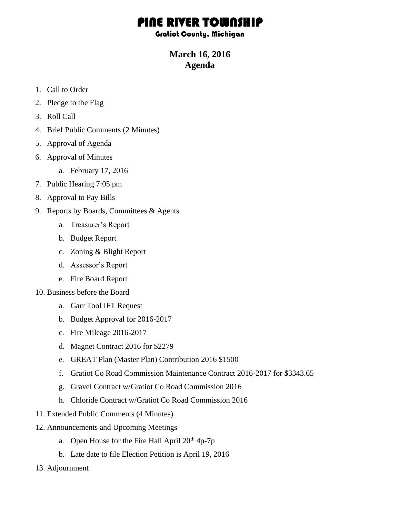# PINE RIVER TOWNSHIP

#### Gratiot County, Michigan

## **March 16, 2016 Agenda**

- 1. Call to Order
- 2. Pledge to the Flag
- 3. Roll Call
- 4. Brief Public Comments (2 Minutes)
- 5. Approval of Agenda
- 6. Approval of Minutes
	- a. February 17, 2016
- 7. Public Hearing 7:05 pm
- 8. Approval to Pay Bills
- 9. Reports by Boards, Committees & Agents
	- a. Treasurer's Report
	- b. Budget Report
	- c. Zoning & Blight Report
	- d. Assessor's Report
	- e. Fire Board Report
- 10. Business before the Board
	- a. Garr Tool IFT Request
	- b. Budget Approval for 2016-2017
	- c. Fire Mileage 2016-2017
	- d. Magnet Contract 2016 for \$2279
	- e. GREAT Plan (Master Plan) Contribution 2016 \$1500
	- f. Gratiot Co Road Commission Maintenance Contract 2016-2017 for \$3343.65
	- g. Gravel Contract w/Gratiot Co Road Commission 2016
	- h. Chloride Contract w/Gratiot Co Road Commission 2016
- 11. Extended Public Comments (4 Minutes)
- 12. Announcements and Upcoming Meetings
	- a. Open House for the Fire Hall April  $20<sup>th</sup> 4p-7p$
	- b. Late date to file Election Petition is April 19, 2016
- 13. Adjournment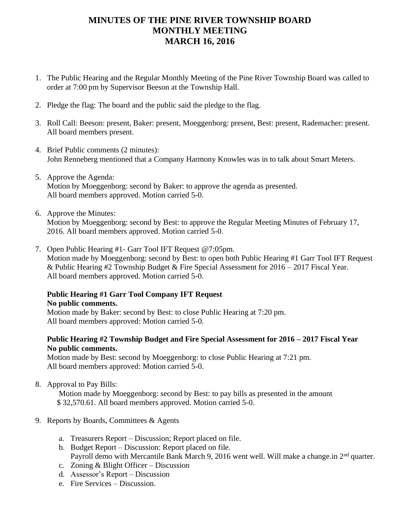## **MINUTES OF THE PINE RIVER TOWNSHIP BOARD MONTHLY MEETING MARCH 16, 2016**

- 1. The Public Hearing and the Regular Monthly Meeting of the Pine River Township Board was called to order at 7:00 pm by Supervisor Beeson at the Township Hall.
- 2. Pledge the flag: The board and the public said the pledge to the flag.
- 3. Roll Call: Beeson: present, Baker: present, Moeggenborg: present, Best: present, Rademacher: present. All board members present.
- 4. Brief Public comments (2 minutes): John Renneberg mentioned that a Company Harmony Knowles was in to talk about Smart Meters.
- 5. Approve the Agenda: Motion by Moeggenborg: second by Baker: to approve the agenda as presented. All board members approved. Motion carried 5-0.
- 6. Approve the Minutes: Motion by Moeggenborg: second by Best: to approve the Regular Meeting Minutes of February 17, 2016. All board members approved. Motion carried 5-0.
- 7. Open Public Hearing #1- Garr Tool IFT Request @7:05pm. Motion made by Moeggenborg: second by Best: to open both Public Hearing #1 Garr Tool IFT Request & Public Hearing #2 Township Budget & Fire Special Assessment for 2016 – 2017 Fiscal Year. All board members approved. Motion carried 5-0.

#### **Public Hearing #1 Garr Tool Company IFT Request No public comments.**

Motion made by Baker: second by Best: to close Public Hearing at 7:20 pm. All board members approved: Motion carried 5-0.

### **Public Hearing #2 Township Budget and Fire Special Assessment for 2016 – 2017 Fiscal Year No public comments.**

Motion made by Best: second by Moeggenborg: to close Public Hearing at 7:21 pm. All board members approved: Motion carried 5-0.

8. Approval to Pay Bills:

 Motion made by Moeggenborg: second by Best: to pay bills as presented in the amount \$ 32,570.61. All board members approved. Motion carried 5-0.

- 9. Reports by Boards, Committees & Agents
	- a. Treasurers Report Discussion; Report placed on file.
	- b. Budget Report Discussion: Report placed on file. Payroll demo with Mercantile Bank March 9, 2016 went well. Will make a change.in 2<sup>nd</sup> quarter.
	- c. Zoning & Blight Officer Discussion
	- d. Assessor's Report Discussion
	- e. Fire Services Discussion.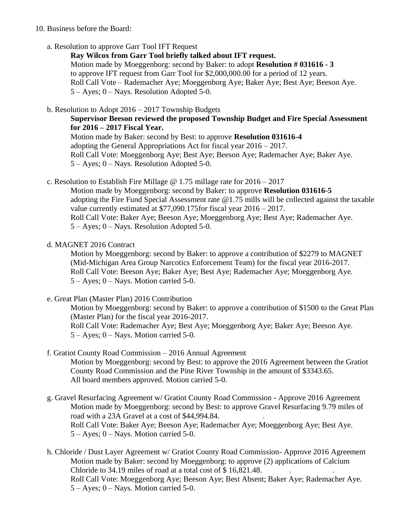#### 10. Business before the Board:

a. Resolution to approve Garr Tool IFT Request

**Ray Wilcox from Garr Tool briefly talked about IFT request.** Motion made by Moeggenborg: second by Baker: to adopt **Resolution # 031616 - 3** to approve IFT request from Garr Tool for \$2,000,000.00 for a period of 12 years. Roll Call Vote – Rademacher Aye; Moeggenborg Aye; Baker Aye; Best Aye; Beeson Aye. 5 – Ayes; 0 – Nays. Resolution Adopted 5-0.

b. Resolution to Adopt 2016 – 2017 Township Budgets

**Supervisor Beeson reviewed the proposed Township Budget and Fire Special Assessment for 2016 – 2017 Fiscal Year.** Motion made by Baker: second by Best: to approve **Resolution 031616-4**

adopting the General Appropriations Act for fiscal year 2016 – 2017. Roll Call Vote: Moeggenborg Aye; Best Aye; Beeson Aye; Rademacher Aye; Baker Aye. 5 – Ayes; 0 – Nays. Resolution Adopted 5-0.

c. Resolution to Establish Fire Millage @ 1.75 millage rate for 2016 – 2017

Motion made by Moeggenborg: second by Baker: to approve **Resolution 031616-5**  adopting the Fire Fund Special Assessment rate @1.75 mills will be collected against the taxable value currently estimated at \$77,090.175for fiscal year 2016 – 2017. Roll Call Vote: Baker Aye; Beeson Aye; Moeggenborg Aye; Best Aye; Rademacher Aye. 5 – Ayes; 0 – Nays. Resolution Adopted 5-0.

d. MAGNET 2016 Contract

Motion by Moeggenborg: second by Baker: to approve a contribution of \$2279 to MAGNET (Mid-Michigan Area Group Narcotics Enforcement Team) for the fiscal year 2016-2017. Roll Call Vote: Beeson Aye; Baker Aye; Best Aye; Rademacher Aye; Moeggenborg Aye.  $5 -$ Ayes:  $0 -$ Nays. Motion carried 5-0.

e. Great Plan (Master Plan) 2016 Contribution

Motion by Moeggenborg: second by Baker: to approve a contribution of \$1500 to the Great Plan (Master Plan) for the fiscal year 2016-2017. Roll Call Vote: Rademacher Aye; Best Aye; Moeggenborg Aye; Baker Aye; Beeson Aye. 5 – Ayes; 0 – Nays. Motion carried 5-0.

- f. Gratiot County Road Commission 2016 Annual Agreement Motion by Moeggenborg: second by Best: to approve the 2016 Agreement between the Gratiot County Road Commission and the Pine River Township in the amount of \$3343.65. All board members approved. Motion carried 5-0.
- g. Gravel Resurfacing Agreement w/ Gratiot County Road Commission Approve 2016 Agreement Motion made by Moeggenborg: second by Best: to approve Gravel Resurfacing 9.79 miles of road with a 23A Gravel at a cost of \$44,994.84. Roll Call Vote: Baker Aye; Beeson Aye; Rademacher Aye; Moeggenborg Aye; Best Aye. 5 – Ayes; 0 – Nays. Motion carried 5-0.

h. Chloride / Dust Layer Agreement w/ Gratiot County Road Commission- Approve 2016 Agreement Motion made by Baker: second by Moeggenborg: to approve (2) applications of Calcium Chloride to  $34.19$  miles of road at a total cost of \$16,821.48. Roll Call Vote: Moeggenborg Aye; Beeson Aye; Best Absent; Baker Aye; Rademacher Aye. 5 – Ayes; 0 – Nays. Motion carried 5-0.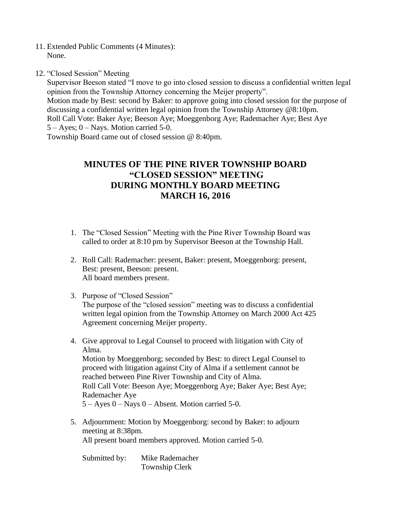- 11. Extended Public Comments (4 Minutes): None.
- 12. "Closed Session" Meeting

Supervisor Beeson stated "I move to go into closed session to discuss a confidential written legal opinion from the Township Attorney concerning the Meijer property".

Motion made by Best: second by Baker: to approve going into closed session for the purpose of discussing a confidential written legal opinion from the Township Attorney @8:10pm. Roll Call Vote: Baker Aye; Beeson Aye; Moeggenborg Aye; Rademacher Aye; Best Aye 5 – Ayes; 0 – Nays. Motion carried 5-0.

Township Board came out of closed session @ 8:40pm.

## **MINUTES OF THE PINE RIVER TOWNSHIP BOARD "CLOSED SESSION" MEETING DURING MONTHLY BOARD MEETING MARCH 16, 2016**

- 1. The "Closed Session" Meeting with the Pine River Township Board was called to order at 8:10 pm by Supervisor Beeson at the Township Hall.
- 2. Roll Call: Rademacher: present, Baker: present, Moeggenborg: present, Best: present, Beeson: present. All board members present.
- 3. Purpose of "Closed Session" The purpose of the "closed session" meeting was to discuss a confidential written legal opinion from the Township Attorney on March 2000 Act 425 Agreement concerning Meijer property.
- 4. Give approval to Legal Counsel to proceed with litigation with City of Alma. Motion by Moeggenborg; seconded by Best: to direct Legal Counsel to proceed with litigation against City of Alma if a settlement cannot be reached between Pine River Township and City of Alma. Roll Call Vote: Beeson Aye; Moeggenborg Aye; Baker Aye; Best Aye; Rademacher Aye  $5 - Ayes 0 - Nays 0 - Absent. Motion carried 5-0.$
- 5. Adjournment: Motion by Moeggenborg: second by Baker: to adjourn meeting at 8:38pm. All present board members approved. Motion carried 5-0.

Submitted by: Mike Rademacher Township Clerk